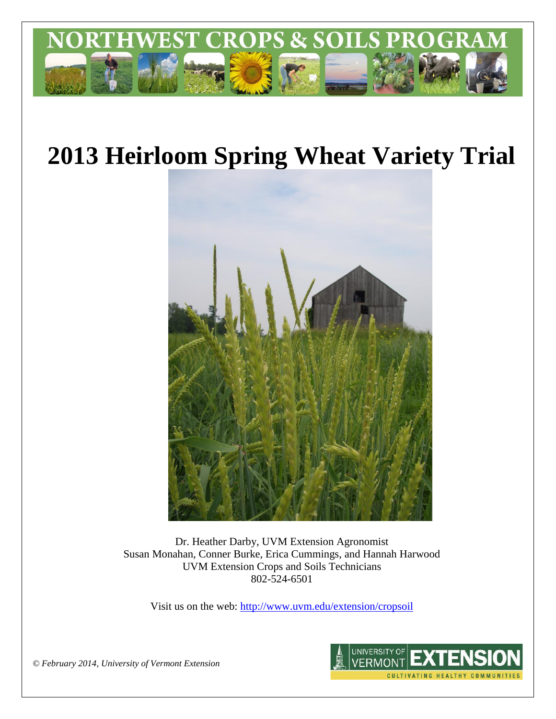

# **2013 Heirloom Spring Wheat Variety Trial**



Dr. Heather Darby, UVM Extension Agronomist Susan Monahan, Conner Burke, Erica Cummings, and Hannah Harwood UVM Extension Crops and Soils Technicians 802-524-6501

Visit us on the web: <http://www.uvm.edu/extension/cropsoil>



*© February 2014, University of Vermont Extension*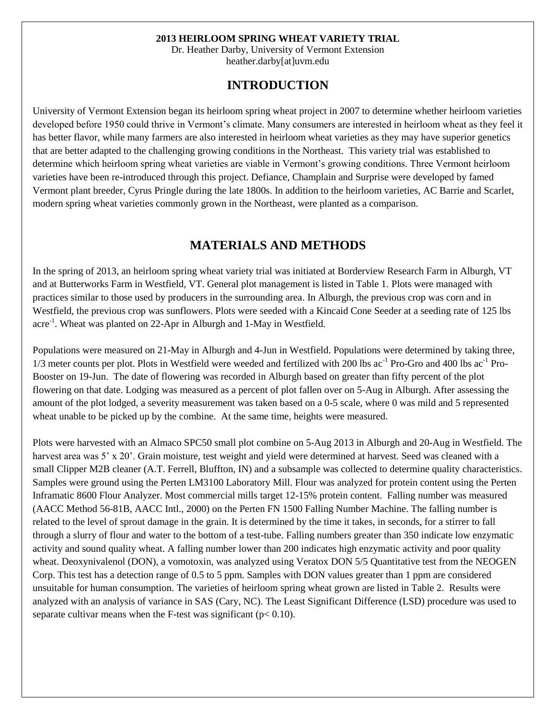#### **2013 HEIRLOOM SPRING WHEAT VARIETY TRIAL**

Dr. Heather Darby, University of Vermont Extension heather.darby[at]uvm.edu

#### **INTRODUCTION**

University of Vermont Extension began its heirloom spring wheat project in 2007 to determine whether heirloom varieties developed before 1950 could thrive in Vermont's climate. Many consumers are interested in heirloom wheat as they feel it has better flavor, while many farmers are also interested in heirloom wheat varieties as they may have superior genetics that are better adapted to the challenging growing conditions in the Northeast. This variety trial was established to determine which heirloom spring wheat varieties are viable in Vermont's growing conditions. Three Vermont heirloom varieties have been re-introduced through this project. Defiance, Champlain and Surprise were developed by famed Vermont plant breeder, Cyrus Pringle during the late 1800s. In addition to the heirloom varieties, AC Barrie and Scarlet, modern spring wheat varieties commonly grown in the Northeast, were planted as a comparison.

### **MATERIALS AND METHODS**

In the spring of 2013, an heirloom spring wheat variety trial was initiated at Borderview Research Farm in Alburgh, VT and at Butterworks Farm in Westfield, VT. General plot management is listed in Table 1. Plots were managed with practices similar to those used by producers in the surrounding area. In Alburgh, the previous crop was corn and in Westfield, the previous crop was sunflowers. Plots were seeded with a Kincaid Cone Seeder at a seeding rate of 125 lbs acre<sup>-1</sup>. Wheat was planted on 22-Apr in Alburgh and 1-May in Westfield.

Populations were measured on 21-May in Alburgh and 4-Jun in Westfield. Populations were determined by taking three,  $1/3$  meter counts per plot. Plots in Westfield were weeded and fertilized with 200 lbs ac<sup>-1</sup> Pro-Gro and 400 lbs ac<sup>-1</sup> Pro-Booster on 19-Jun. The date of flowering was recorded in Alburgh based on greater than fifty percent of the plot flowering on that date. Lodging was measured as a percent of plot fallen over on 5-Aug in Alburgh. After assessing the amount of the plot lodged, a severity measurement was taken based on a 0-5 scale, where 0 was mild and 5 represented wheat unable to be picked up by the combine. At the same time, heights were measured.

Plots were harvested with an Almaco SPC50 small plot combine on 5-Aug 2013 in Alburgh and 20-Aug in Westfield. The harvest area was 5' x 20'. Grain moisture, test weight and yield were determined at harvest. Seed was cleaned with a small Clipper M2B cleaner (A.T. Ferrell, Bluffton, IN) and a subsample was collected to determine quality characteristics. Samples were ground using the Perten LM3100 Laboratory Mill. Flour was analyzed for protein content using the Perten Inframatic 8600 Flour Analyzer. Most commercial mills target 12-15% protein content. Falling number was measured (AACC Method 56-81B, AACC Intl., 2000) on the Perten FN 1500 Falling Number Machine. The falling number is related to the level of sprout damage in the grain. It is determined by the time it takes, in seconds, for a stirrer to fall through a slurry of flour and water to the bottom of a test-tube. Falling numbers greater than 350 indicate low enzymatic activity and sound quality wheat. A falling number lower than 200 indicates high enzymatic activity and poor quality wheat. Deoxynivalenol (DON), a vomotoxin, was analyzed using Veratox DON 5/5 Quantitative test from the NEOGEN Corp. This test has a detection range of 0.5 to 5 ppm. Samples with DON values greater than 1 ppm are considered unsuitable for human consumption. The varieties of heirloom spring wheat grown are listed in Table 2. Results were analyzed with an analysis of variance in SAS (Cary, NC). The Least Significant Difference (LSD) procedure was used to separate cultivar means when the F-test was significant ( $p < 0.10$ ).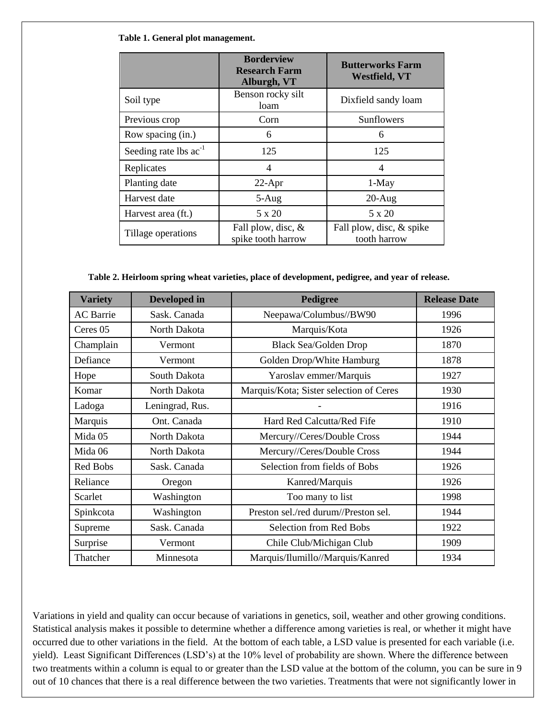#### **Table 1. General plot management.**

|                            | <b>Borderview</b><br><b>Research Farm</b><br>Alburgh, VT | <b>Butterworks Farm</b><br><b>Westfield, VT</b> |
|----------------------------|----------------------------------------------------------|-------------------------------------------------|
| Soil type                  | Benson rocky silt<br>loam                                | Dixfield sandy loam                             |
| Previous crop              | Corn                                                     | Sunflowers                                      |
| Row spacing (in.)          | 6                                                        | 6                                               |
| Seeding rate lbs $ac^{-1}$ | 125                                                      | 125                                             |
| Replicates                 | 4                                                        | 4                                               |
| Planting date              | 22-Apr                                                   | 1-May                                           |
| Harvest date               | $5-Aug$                                                  | $20-Aug$                                        |
| Harvest area (ft.)         | 5 x 20                                                   | 5 x 20                                          |
| Tillage operations         | Fall plow, disc, &<br>spike tooth harrow                 | Fall plow, disc, & spike<br>tooth harrow        |

**Table 2. Heirloom spring wheat varieties, place of development, pedigree, and year of release.**

| <b>Variety</b>   | Developed in    | Pedigree                                | <b>Release Date</b> |
|------------------|-----------------|-----------------------------------------|---------------------|
| <b>AC</b> Barrie | Sask. Canada    | Neepawa/Columbus//BW90                  | 1996                |
| Ceres 05         | North Dakota    | Marquis/Kota                            | 1926                |
| Champlain        | Vermont         | <b>Black Sea/Golden Drop</b>            | 1870                |
| Defiance         | Vermont         | Golden Drop/White Hamburg               | 1878                |
| Hope             | South Dakota    | Yaroslav emmer/Marquis                  | 1927                |
| Komar            | North Dakota    | Marquis/Kota; Sister selection of Ceres | 1930                |
| Ladoga           | Leningrad, Rus. |                                         | 1916                |
| Marquis          | Ont. Canada     | Hard Red Calcutta/Red Fife              | 1910                |
| Mida 05          | North Dakota    | Mercury//Ceres/Double Cross             | 1944                |
| Mida 06          | North Dakota    | Mercury//Ceres/Double Cross             | 1944                |
| Red Bobs         | Sask. Canada    | Selection from fields of Bobs           | 1926                |
| Reliance         | Oregon          | Kanred/Marquis                          | 1926                |
| Scarlet          | Washington      | Too many to list                        | 1998                |
| Spinkcota        | Washington      | Preston sel./red durum//Preston sel.    | 1944                |
| Supreme          | Sask. Canada    | Selection from Red Bobs                 | 1922                |
| Surprise         | Vermont         | Chile Club/Michigan Club                | 1909                |
| Thatcher         | Minnesota       | Marquis/Ilumillo//Marquis/Kanred        | 1934                |

Variations in yield and quality can occur because of variations in genetics, soil, weather and other growing conditions. Statistical analysis makes it possible to determine whether a difference among varieties is real, or whether it might have occurred due to other variations in the field. At the bottom of each table, a LSD value is presented for each variable (i.e. yield). Least Significant Differences (LSD's) at the 10% level of probability are shown. Where the difference between two treatments within a column is equal to or greater than the LSD value at the bottom of the column, you can be sure in 9 out of 10 chances that there is a real difference between the two varieties. Treatments that were not significantly lower in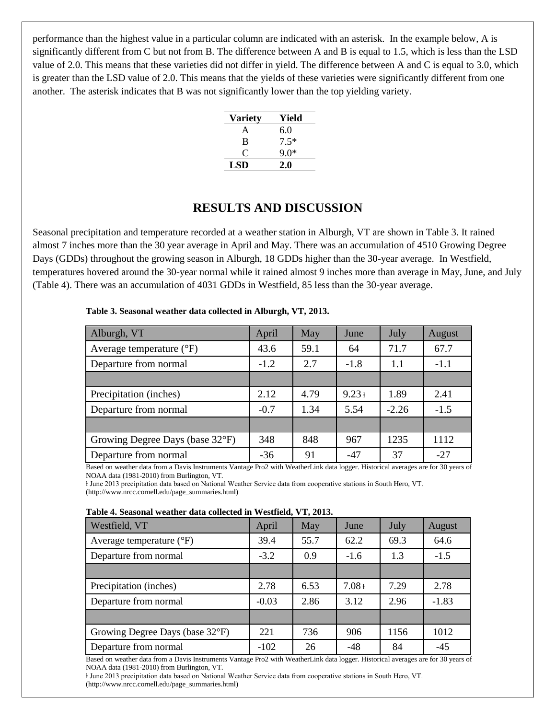performance than the highest value in a particular column are indicated with an asterisk. In the example below, A is significantly different from C but not from B. The difference between A and B is equal to 1.5, which is less than the LSD value of 2.0. This means that these varieties did not differ in yield. The difference between A and C is equal to 3.0, which is greater than the LSD value of 2.0. This means that the yields of these varieties were significantly different from one another. The asterisk indicates that B was not significantly lower than the top yielding variety.

| <b>Variety</b> | Yield  |
|----------------|--------|
| A              | 6.0    |
| B              | $7.5*$ |
| €              | 9.0*   |
| <b>LSD</b>     | 2.0    |

## **RESULTS AND DISCUSSION**

Seasonal precipitation and temperature recorded at a weather station in Alburgh, VT are shown in Table 3. It rained almost 7 inches more than the 30 year average in April and May. There was an accumulation of 4510 Growing Degree Days (GDDs) throughout the growing season in Alburgh, 18 GDDs higher than the 30-year average. In Westfield, temperatures hovered around the 30-year normal while it rained almost 9 inches more than average in May, June, and July (Table 4). There was an accumulation of 4031 GDDs in Westfield, 85 less than the 30-year average.

| Alburgh, VT                       |        | May  | June     | July    | August |
|-----------------------------------|--------|------|----------|---------|--------|
|                                   | April  |      |          |         |        |
| Average temperature $(^{\circ}F)$ | 43.6   | 59.1 | 64       | 71.7    | 67.7   |
| Departure from normal             | $-1.2$ | 2.7  | $-1.8$   | 1.1     | $-1.1$ |
|                                   |        |      |          |         |        |
| Precipitation (inches)            | 2.12   | 4.79 | $9.23 +$ | 1.89    | 2.41   |
| Departure from normal             | $-0.7$ | 1.34 | 5.54     | $-2.26$ | $-1.5$ |
|                                   |        |      |          |         |        |
| Growing Degree Days (base 32°F)   | 348    | 848  | 967      | 1235    | 1112   |
| Departure from normal             | $-36$  | 91   | $-47$    | 37      | $-27$  |

**Table 3. Seasonal weather data collected in Alburgh, VT, 2013.**

Based on weather data from a Davis Instruments Vantage Pro2 with WeatherLink data logger. Historical averages are for 30 years of NOAA data (1981-2010) from Burlington, VT.

ⱡ June 2013 precipitation data based on National Weather Service data from cooperative stations in South Hero, VT. (http://www.nrcc.cornell.edu/page\_summaries.html)

| Table 4. Seasonal weather data collected in Westfield, VT, 2013. |  |  |  |  |
|------------------------------------------------------------------|--|--|--|--|
|------------------------------------------------------------------|--|--|--|--|

| Westfield, VT                     | April   | May  | June     | July | August  |
|-----------------------------------|---------|------|----------|------|---------|
| Average temperature $(^{\circ}F)$ | 39.4    | 55.7 | 62.2     | 69.3 | 64.6    |
| Departure from normal             | $-3.2$  | 0.9  | $-1.6$   | 1.3  | $-1.5$  |
|                                   |         |      |          |      |         |
| Precipitation (inches)            | 2.78    | 6.53 | $7.08 +$ | 7.29 | 2.78    |
| Departure from normal             | $-0.03$ | 2.86 | 3.12     | 2.96 | $-1.83$ |
|                                   |         |      |          |      |         |
| Growing Degree Days (base 32°F)   | 221     | 736  | 906      | 1156 | 1012    |
| Departure from normal             | $-102$  | 26   | $-48$    | 84   | $-45$   |

Based on weather data from a Davis Instruments Vantage Pro2 with WeatherLink data logger. Historical averages are for 30 years of NOAA data (1981-2010) from Burlington, VT.

ⱡ June 2013 precipitation data based on National Weather Service data from cooperative stations in South Hero, VT. (http://www.nrcc.cornell.edu/page\_summaries.html)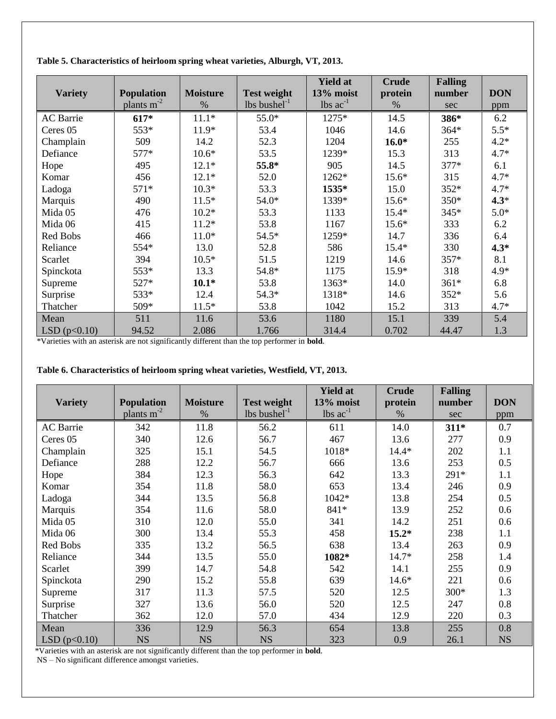| <b>Variety</b>   | <b>Population</b> | <b>Moisture</b> | <b>Test weight</b>         | <b>Yield at</b><br>13% moist  | <b>Crude</b><br>protein | <b>Falling</b><br>number | <b>DON</b> |
|------------------|-------------------|-----------------|----------------------------|-------------------------------|-------------------------|--------------------------|------------|
|                  | plants $m-2$      | $\%$            | $lbs$ bushel <sup>-1</sup> | $\text{lbs}$ ac <sup>-1</sup> | %                       | sec                      | ppm        |
| <b>AC</b> Barrie | $617*$            | $11.1*$         | 55.0*                      | 1275*                         | 14.5                    | 386*                     | 6.2        |
| Ceres 05         | 553*              | $11.9*$         | 53.4                       | 1046                          | 14.6                    | 364*                     | $5.5*$     |
| Champlain        | 509               | 14.2            | 52.3                       | 1204                          | $16.0*$                 | 255                      | $4.2*$     |
| Defiance         | $577*$            | $10.6*$         | 53.5                       | 1239*                         | 15.3                    | 313                      | $4.7*$     |
| Hope             | 495               | $12.1*$         | 55.8*                      | 905                           | 14.5                    | 377*                     | 6.1        |
| Komar            | 456               | $12.1*$         | 52.0                       | 1262*                         | $15.6*$                 | 315                      | $4.7*$     |
| Ladoga           | $571*$            | $10.3*$         | 53.3                       | 1535*                         | 15.0                    | 352*                     | $4.7*$     |
| Marquis          | 490               | $11.5*$         | 54.0*                      | 1339*                         | $15.6*$                 | 350*                     | $4.3*$     |
| Mida 05          | 476               | $10.2*$         | 53.3                       | 1133                          | $15.4*$                 | 345*                     | $5.0*$     |
| Mida 06          | 415               | $11.2*$         | 53.8                       | 1167                          | $15.6*$                 | 333                      | 6.2        |
| Red Bobs         | 466               | $11.0*$         | 54.5*                      | 1259*                         | 14.7                    | 336                      | 6.4        |
| Reliance         | 554*              | 13.0            | 52.8                       | 586                           | $15.4*$                 | 330                      | $4.3*$     |
| Scarlet          | 394               | $10.5*$         | 51.5                       | 1219                          | 14.6                    | 357*                     | 8.1        |
| Spinckota        | 553*              | 13.3            | 54.8*                      | 1175                          | 15.9*                   | 318                      | $4.9*$     |
| Supreme          | 527*              | $10.1*$         | 53.8                       | 1363*                         | 14.0                    | $361*$                   | 6.8        |
| Surprise         | 533*              | 12.4            | 54.3*                      | 1318*                         | 14.6                    | 352*                     | 5.6        |
| Thatcher         | 509*              | $11.5*$         | 53.8                       | 1042                          | 15.2                    | 313                      | $4.7*$     |
| Mean             | 511               | 11.6            | 53.6                       | 1180                          | 15.1                    | 339                      | 5.4        |
| LSD $(p<0.10)$   | 94.52             | 2.086           | 1.766                      | 314.4                         | 0.702                   | 44.47                    | 1.3        |

**Table 5. Characteristics of heirloom spring wheat varieties, Alburgh, VT, 2013.**

\*Varieties with an asterisk are not significantly different than the top performer in **bold**.

|                  |                                      |                         |                                                  | <b>Yield at</b>            | <b>Crude</b>    | <b>Falling</b> |            |
|------------------|--------------------------------------|-------------------------|--------------------------------------------------|----------------------------|-----------------|----------------|------------|
| <b>Variety</b>   | <b>Population</b><br>plants $m^{-2}$ | <b>Moisture</b><br>$\%$ | <b>Test weight</b><br>$lbs$ bushel <sup>-1</sup> | 13% moist<br>lbs $ac^{-1}$ | protein<br>$\%$ | number<br>sec  | <b>DON</b> |
|                  |                                      |                         |                                                  |                            |                 |                | ppm        |
| <b>AC</b> Barrie | 342                                  | 11.8                    | 56.2                                             | 611                        | 14.0            | $311*$         | 0.7        |
| Ceres 05         | 340                                  | 12.6                    | 56.7                                             | 467                        | 13.6            | 277            | 0.9        |
| Champlain        | 325                                  | 15.1                    | 54.5                                             | 1018*                      | $14.4*$         | 202            | 1.1        |
| Defiance         | 288                                  | 12.2                    | 56.7                                             | 666                        | 13.6            | 253            | 0.5        |
| Hope             | 384                                  | 12.3                    | 56.3                                             | 642                        | 13.3            | 291*           | 1.1        |
| Komar            | 354                                  | 11.8                    | 58.0                                             | 653                        | 13.4            | 246            | 0.9        |
| Ladoga           | 344                                  | 13.5                    | 56.8                                             | 1042*                      | 13.8            | 254            | 0.5        |
| Marquis          | 354                                  | 11.6                    | 58.0                                             | 841*                       | 13.9            | 252            | 0.6        |
| Mida 05          | 310                                  | 12.0                    | 55.0                                             | 341                        | 14.2            | 251            | 0.6        |
| Mida 06          | 300                                  | 13.4                    | 55.3                                             | 458                        | $15.2*$         | 238            | 1.1        |
| Red Bobs         | 335                                  | 13.2                    | 56.5                                             | 638                        | 13.4            | 263            | 0.9        |
| Reliance         | 344                                  | 13.5                    | 55.0                                             | 1082*                      | 14.7*           | 258            | 1.4        |
| Scarlet          | 399                                  | 14.7                    | 54.8                                             | 542                        | 14.1            | 255            | 0.9        |
| Spinckota        | 290                                  | 15.2                    | 55.8                                             | 639                        | $14.6*$         | 221            | 0.6        |
| Supreme          | 317                                  | 11.3                    | 57.5                                             | 520                        | 12.5            | 300*           | 1.3        |
| Surprise         | 327                                  | 13.6                    | 56.0                                             | 520                        | 12.5            | 247            | 0.8        |
| Thatcher         | 362                                  | 12.0                    | 57.0                                             | 434                        | 12.9            | 220            | 0.3        |
| Mean             | 336                                  | 12.9                    | 56.3                                             | 654                        | 13.8            | 255            | 0.8        |
| LSD(p<0.10)      | <b>NS</b>                            | <b>NS</b>               | <b>NS</b>                                        | 323                        | 0.9             | 26.1           | <b>NS</b>  |

**Table 6. Characteristics of heirloom spring wheat varieties, Westfield, VT, 2013.**

\*Varieties with an asterisk are not significantly different than the top performer in **bold**.

NS – No significant difference amongst varieties.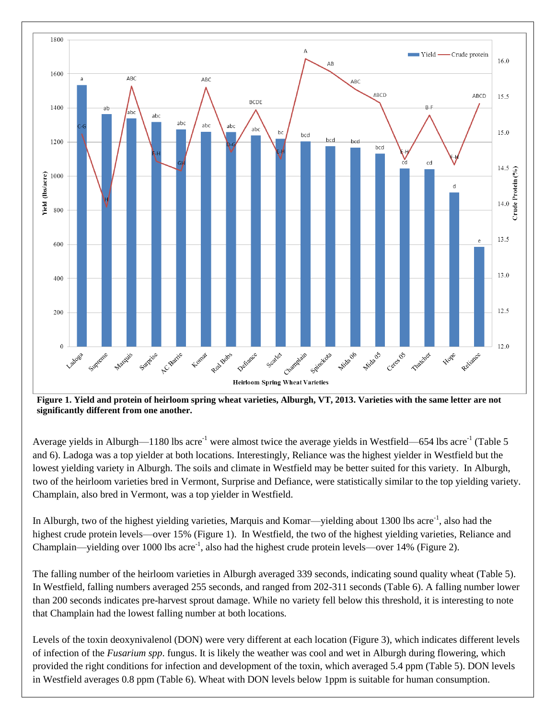

**Figure 1. Yield and protein of heirloom spring wheat varieties, Alburgh, VT, 2013. Varieties with the same letter are not significantly different from one another.**

Average yields in Alburgh—1180 lbs acre<sup>-1</sup> were almost twice the average yields in Westfield—654 lbs acre<sup>-1</sup> (Table 5 and 6). Ladoga was a top yielder at both locations. Interestingly, Reliance was the highest yielder in Westfield but the lowest yielding variety in Alburgh. The soils and climate in Westfield may be better suited for this variety. In Alburgh, two of the heirloom varieties bred in Vermont, Surprise and Defiance, were statistically similar to the top yielding variety. Champlain, also bred in Vermont, was a top yielder in Westfield.

In Alburgh, two of the highest yielding varieties, Marquis and Komar—yielding about 1300 lbs acre<sup>-1</sup>, also had the highest crude protein levels—over 15% (Figure 1). In Westfield, the two of the highest yielding varieties, Reliance and Champlain—yielding over 1000 lbs acre<sup>-1</sup>, also had the highest crude protein levels—over 14% (Figure 2).

The falling number of the heirloom varieties in Alburgh averaged 339 seconds, indicating sound quality wheat (Table 5). In Westfield, falling numbers averaged 255 seconds, and ranged from 202-311 seconds (Table 6). A falling number lower than 200 seconds indicates pre-harvest sprout damage. While no variety fell below this threshold, it is interesting to note that Champlain had the lowest falling number at both locations.

Levels of the toxin deoxynivalenol (DON) were very different at each location (Figure 3), which indicates different levels of infection of the *Fusarium spp*. fungus. It is likely the weather was cool and wet in Alburgh during flowering, which provided the right conditions for infection and development of the toxin, which averaged 5.4 ppm (Table 5). DON levels in Westfield averages 0.8 ppm (Table 6). Wheat with DON levels below 1ppm is suitable for human consumption.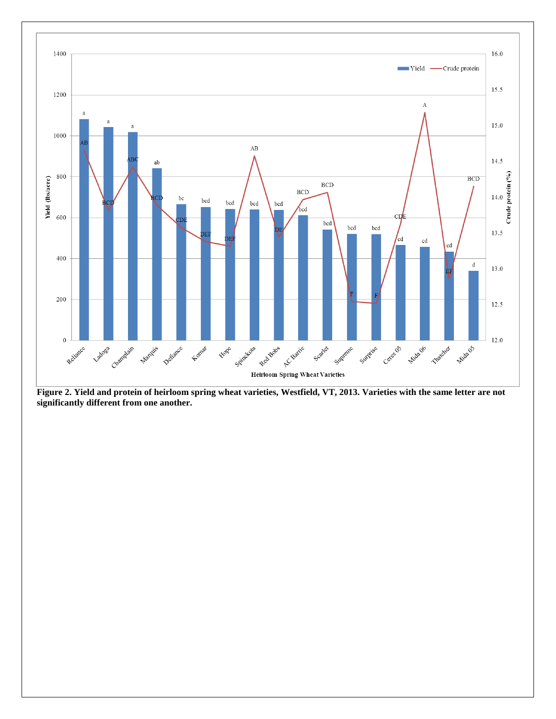

**Figure 2. Yield and protein of heirloom spring wheat varieties, Westfield, VT, 2013. Varieties with the same letter are not significantly different from one another.**